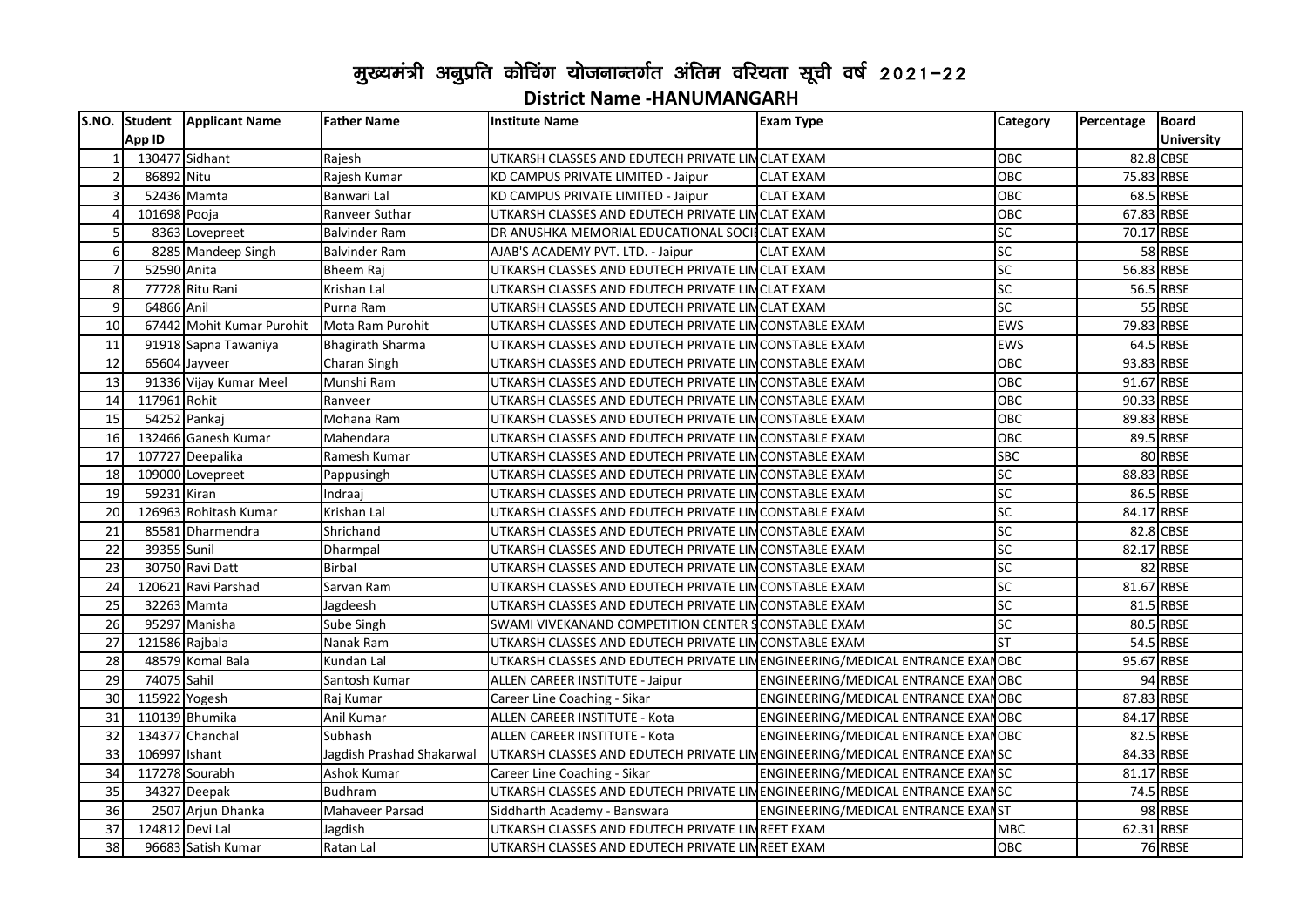## मुख्यमंत्री अनुप्रति कोचिंग योजनान्तर्गत अंतिम वरियता सूची वर्ष 2021–22 **District Name -HANUMANGARH**

|                  |                 | S.NO. Student Applicant Name | <b>Father Name</b>        | <b>Institute Name</b>                                                       | <b>Exam Type</b>                     | Category        | Percentage | <b>Board</b>      |
|------------------|-----------------|------------------------------|---------------------------|-----------------------------------------------------------------------------|--------------------------------------|-----------------|------------|-------------------|
|                  | App ID          |                              |                           |                                                                             |                                      |                 |            | <b>University</b> |
| $\mathbf{1}$     | 130477 Sidhant  |                              | Rajesh                    | UTKARSH CLASSES AND EDUTECH PRIVATE LINCLAT EXAM                            |                                      | OBC             |            | 82.8 CBSE         |
| $\overline{2}$   | 86892 Nitu      |                              | Rajesh Kumar              | KD CAMPUS PRIVATE LIMITED - Jaipur                                          | <b>CLAT EXAM</b>                     | OBC             | 75.83 RBSE |                   |
| 3                |                 | 52436 Mamta                  | Banwari Lal               | KD CAMPUS PRIVATE LIMITED - Jaipur                                          | <b>CLAT EXAM</b>                     | OBC             |            | 68.5 RBSE         |
| $\overline{4}$   | 101698 Pooja    |                              | Ranveer Suthar            | UTKARSH CLASSES AND EDUTECH PRIVATE LINCLAT EXAM                            |                                      | OBC             | 67.83 RBSE |                   |
| 5                |                 | 8363 Lovepreet               | <b>Balvinder Ram</b>      | DR ANUSHKA MEMORIAL EDUCATIONAL SOCII CLAT EXAM                             |                                      | SC              | 70.17 RBSE |                   |
| 6                |                 | 8285 Mandeep Singh           | <b>Balvinder Ram</b>      | AJAB'S ACADEMY PVT. LTD. - Jaipur                                           | <b>CLAT EXAM</b>                     | SC              |            | 58 RBSE           |
| $\overline{7}$   | 52590 Anita     |                              | Bheem Raj                 | UTKARSH CLASSES AND EDUTECH PRIVATE LINCLAT EXAM                            |                                      | SC              | 56.83 RBSE |                   |
| 8                |                 | 77728 Ritu Rani              | Krishan Lal               | UTKARSH CLASSES AND EDUTECH PRIVATE LINCLAT EXAM                            |                                      | SC              |            | 56.5 RBSE         |
| $\boldsymbol{9}$ | 64866 Anil      |                              | Purna Ram                 | UTKARSH CLASSES AND EDUTECH PRIVATE LINCLAT EXAM                            |                                      | SC              |            | 55 RBSE           |
| 10               |                 | 67442 Mohit Kumar Purohit    | Mota Ram Purohit          | UTKARSH CLASSES AND EDUTECH PRIVATE LINCONSTABLE EXAM                       |                                      | <b>EWS</b>      | 79.83 RBSE |                   |
| $\overline{11}$  |                 | 91918 Sapna Tawaniya         | <b>Bhagirath Sharma</b>   | UTKARSH CLASSES AND EDUTECH PRIVATE LINCONSTABLE EXAM                       |                                      | EWS             |            | 64.5 RBSE         |
| 12               |                 | 65604 Jayveer                | Charan Singh              | UTKARSH CLASSES AND EDUTECH PRIVATE LIMCONSTABLE EXAM                       |                                      | OBC             | 93.83 RBSE |                   |
| 13               |                 | 91336 Vijay Kumar Meel       | Munshi Ram                | UTKARSH CLASSES AND EDUTECH PRIVATE LIMCONSTABLE EXAM                       |                                      | OBC             | 91.67 RBSE |                   |
| 14               | 117961 Rohit    |                              | Ranveer                   | UTKARSH CLASSES AND EDUTECH PRIVATE LINCONSTABLE EXAM                       |                                      | OBC             | 90.33 RBSE |                   |
| 15               | 54252 Pankaj    |                              | Mohana Ram                | UTKARSH CLASSES AND EDUTECH PRIVATE LIN CONSTABLE EXAM                      |                                      | OBC             | 89.83 RBSE |                   |
| 16               |                 | 132466 Ganesh Kumar          | Mahendara                 | UTKARSH CLASSES AND EDUTECH PRIVATE LINCONSTABLE EXAM                       |                                      | ОВС             |            | 89.5 RBSE         |
| 17               |                 | 107727 Deepalika             | Ramesh Kumar              | UTKARSH CLASSES AND EDUTECH PRIVATE LINCONSTABLE EXAM                       |                                      | <b>SBC</b>      |            | 80 RBSE           |
| 18               |                 | 109000 Lovepreet             | Pappusingh                | UTKARSH CLASSES AND EDUTECH PRIVATE LINCONSTABLE EXAM                       |                                      | SC              | 88.83 RBSE |                   |
| 19               | 59231 Kiran     |                              | Indraaj                   | UTKARSH CLASSES AND EDUTECH PRIVATE LIN CONSTABLE EXAM                      |                                      | $\overline{SC}$ |            | 86.5 RBSE         |
| $\overline{20}$  |                 | 126963 Rohitash Kumar        | Krishan Lal               | UTKARSH CLASSES AND EDUTECH PRIVATE LIMCONSTABLE EXAM                       |                                      | $\overline{SC}$ | 84.17 RBSE |                   |
| 21               |                 | 85581 Dharmendra             | Shrichand                 | UTKARSH CLASSES AND EDUTECH PRIVATE LIMCONSTABLE EXAM                       |                                      | SC              |            | 82.8 CBSE         |
| 22               | 39355 Sunil     |                              | Dharmpal                  | UTKARSH CLASSES AND EDUTECH PRIVATE LIN CONSTABLE EXAM                      |                                      | SC              | 82.17 RBSE |                   |
| 23               |                 | 30750 Ravi Datt              | <b>Birbal</b>             | UTKARSH CLASSES AND EDUTECH PRIVATE LINCONSTABLE EXAM                       |                                      | SC              |            | 82 RBSE           |
| 24               |                 | 120621 Ravi Parshad          | Sarvan Ram                | UTKARSH CLASSES AND EDUTECH PRIVATE LINCONSTABLE EXAM                       |                                      | SC              | 81.67 RBSE |                   |
| 25               |                 | 32263 Mamta                  | Jagdeesh                  | UTKARSH CLASSES AND EDUTECH PRIVATE LIN CONSTABLE EXAM                      |                                      | SC              |            | 81.5 RBSE         |
| 26               |                 | 95297 Manisha                | Sube Singh                | SWAMI VIVEKANAND COMPETITION CENTER SCONSTABLE EXAM                         |                                      | SC              |            | 80.5 RBSE         |
| $\overline{27}$  | 121586 Rajbala  |                              | Nanak Ram                 | UTKARSH CLASSES AND EDUTECH PRIVATE LINCONSTABLE EXAM                       |                                      | <b>ST</b>       |            | 54.5 RBSE         |
| $\overline{28}$  |                 | 48579 Komal Bala             | Kundan Lal                | UTKARSH CLASSES AND EDUTECH PRIVATE LINENGINEERING/MEDICAL ENTRANCE EXANOBC |                                      |                 | 95.67 RBSE |                   |
| 29               | 74075 Sahil     |                              | Santosh Kumar             | ALLEN CAREER INSTITUTE - Jaipur                                             | ENGINEERING/MEDICAL ENTRANCE EXANOBC |                 |            | 94 RBSE           |
| 30               | 115922 Yogesh   |                              | Raj Kumar                 | Career Line Coaching - Sikar                                                | ENGINEERING/MEDICAL ENTRANCE EXANOBC |                 | 87.83 RBSE |                   |
| $\overline{31}$  |                 | 110139 Bhumika               | Anil Kumar                | ALLEN CAREER INSTITUTE - Kota                                               | ENGINEERING/MEDICAL ENTRANCE EXANOBC |                 | 84.17 RBSE |                   |
| 32               |                 | 134377 Chanchal              | Subhash                   | ALLEN CAREER INSTITUTE - Kota                                               | ENGINEERING/MEDICAL ENTRANCE EXANOBC |                 |            | 82.5 RBSE         |
| 33               | 106997 Ishant   |                              | Jagdish Prashad Shakarwal | UTKARSH CLASSES AND EDUTECH PRIVATE LIMENGINEERING/MEDICAL ENTRANCE EXANSC  |                                      |                 | 84.33 RBSE |                   |
| 34               |                 | 117278 Sourabh               | Ashok Kumar               | Career Line Coaching - Sikar                                                | ENGINEERING/MEDICAL ENTRANCE EXANSC  |                 | 81.17 RBSE |                   |
| 35               |                 | 34327 Deepak                 | <b>Budhram</b>            | UTKARSH CLASSES AND EDUTECH PRIVATE LINENGINEERING/MEDICAL ENTRANCE EXANSC  |                                      |                 |            | 74.5 RBSE         |
| 36               |                 | 2507 Arjun Dhanka            | Mahaveer Parsad           | Siddharth Academy - Banswara                                                | ENGINEERING/MEDICAL ENTRANCE EXANST  |                 |            | 98 RBSE           |
| 37               | 124812 Devi Lal |                              | Jagdish                   | UTKARSH CLASSES AND EDUTECH PRIVATE LIN REET EXAM                           |                                      | <b>MBC</b>      | 62.31 RBSE |                   |
| 38               |                 | 96683 Satish Kumar           | Ratan Lal                 | UTKARSH CLASSES AND EDUTECH PRIVATE LINREET EXAM                            |                                      | OBC             |            | 76 RBSE           |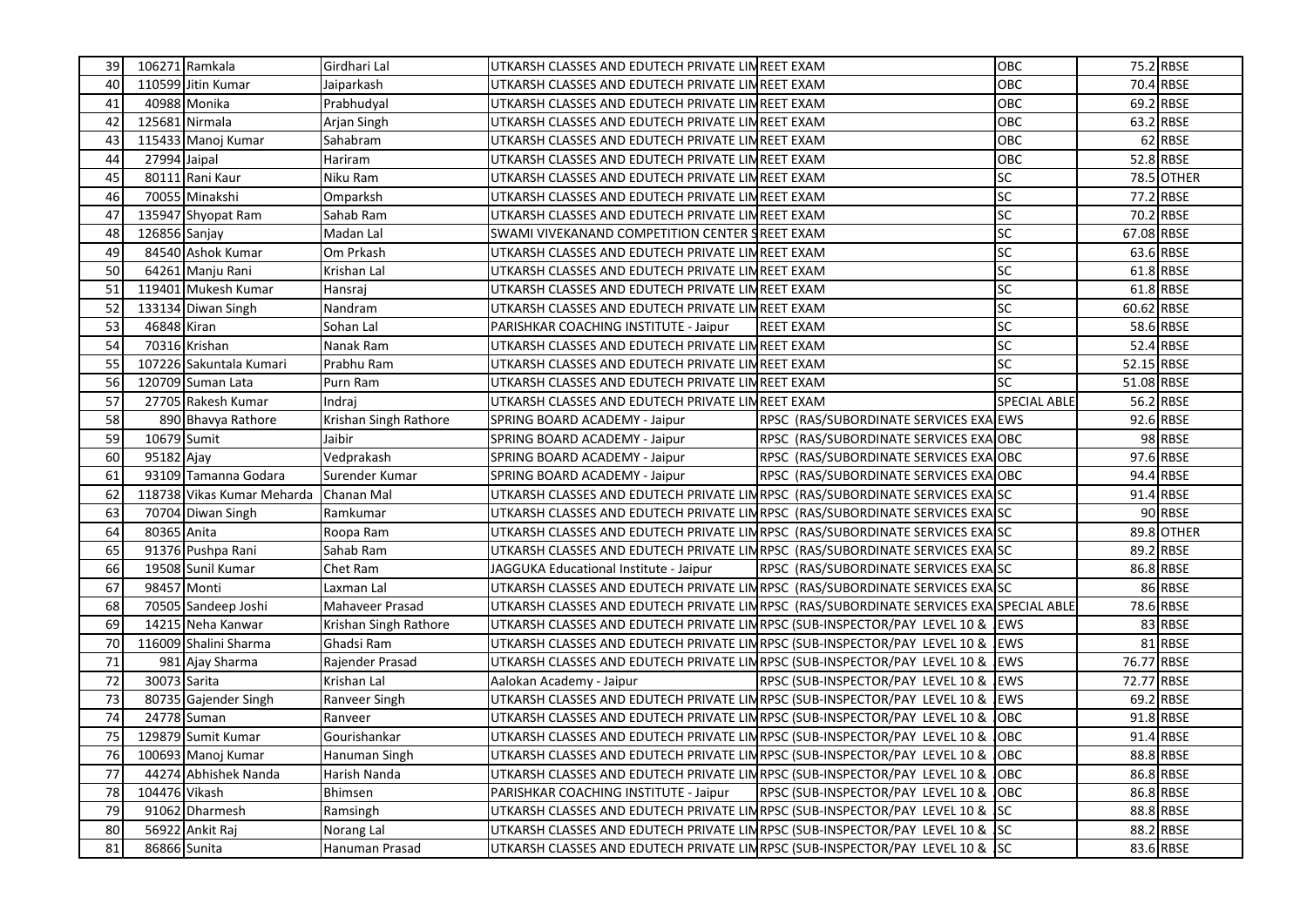| 39              |                | 106271 Ramkala             | Girdhari Lal          | UTKARSH CLASSES AND EDUTECH PRIVATE LIN REET EXAM                                      |                                        | <b>OBC</b>          |            | 75.2 RBSE  |
|-----------------|----------------|----------------------------|-----------------------|----------------------------------------------------------------------------------------|----------------------------------------|---------------------|------------|------------|
| 40              |                | 110599 Jitin Kumar         | Jaiparkash            | UTKARSH CLASSES AND EDUTECH PRIVATE LIMREET EXAM                                       |                                        | OBC                 |            | 70.4 RBSE  |
| 41              |                | 40988 Monika               | Prabhudyal            | UTKARSH CLASSES AND EDUTECH PRIVATE LIMREET EXAM                                       |                                        | OBC                 |            | 69.2 RBSE  |
| 42              | 125681 Nirmala |                            | Arjan Singh           | UTKARSH CLASSES AND EDUTECH PRIVATE LIMREET EXAM                                       |                                        | OBC                 |            | 63.2 RBSE  |
| 43              |                | 115433 Manoj Kumar         | Sahabram              | UTKARSH CLASSES AND EDUTECH PRIVATE LIMREET EXAM                                       |                                        | <b>OBC</b>          |            | 62 RBSE    |
| 44              | 27994 Jaipal   |                            | Hariram               | UTKARSH CLASSES AND EDUTECH PRIVATE LIN REET EXAM                                      |                                        | OBC                 |            | 52.8 RBSE  |
| 45              |                | 80111 Rani Kaur            | Niku Ram              | UTKARSH CLASSES AND EDUTECH PRIVATE LIMREET EXAM                                       |                                        | SC                  |            | 78.5 OTHER |
| 46              |                | 70055 Minakshi             | Omparksh              | UTKARSH CLASSES AND EDUTECH PRIVATE LIMREET EXAM                                       |                                        | SC                  |            | 77.2 RBSE  |
| 47              |                | 135947 Shyopat Ram         | Sahab Ram             | UTKARSH CLASSES AND EDUTECH PRIVATE LIMREET EXAM                                       |                                        | SC                  |            | 70.2 RBSE  |
| 48              | 126856 Sanjay  |                            | Madan Lal             | SWAMI VIVEKANAND COMPETITION CENTER SREET EXAM                                         |                                        | SC                  | 67.08 RBSE |            |
| 49              |                | 84540 Ashok Kumar          | Om Prkash             | UTKARSH CLASSES AND EDUTECH PRIVATE LIN REET EXAM                                      |                                        | SC                  |            | 63.6 RBSE  |
| 50              |                | 64261 Manju Rani           | Krishan Lal           | UTKARSH CLASSES AND EDUTECH PRIVATE LIMREET EXAM                                       |                                        | SC                  |            | 61.8 RBSE  |
| 51              |                | 119401 Mukesh Kumar        | Hansraj               | UTKARSH CLASSES AND EDUTECH PRIVATE LIMREET EXAM                                       |                                        | $\overline{SC}$     |            | 61.8 RBSE  |
| 52              |                | 133134 Diwan Singh         | Nandram               | UTKARSH CLASSES AND EDUTECH PRIVATE LINREET EXAM                                       |                                        | SC                  | 60.62 RBSE |            |
| 53              | 46848 Kiran    |                            | Sohan Lal             | PARISHKAR COACHING INSTITUTE - Jaipur                                                  | <b>REET EXAM</b>                       | SC                  |            | 58.6 RBSE  |
| 54              |                | 70316 Krishan              | Nanak Ram             | UTKARSH CLASSES AND EDUTECH PRIVATE LIMREET EXAM                                       |                                        | SC                  |            | 52.4 RBSE  |
| 55              |                | 107226 Sakuntala Kumari    | Prabhu Ram            | UTKARSH CLASSES AND EDUTECH PRIVATE LIMREET EXAM                                       |                                        | SC                  | 52.15 RBSE |            |
| 56              |                | 120709 Suman Lata          | Purn Ram              | UTKARSH CLASSES AND EDUTECH PRIVATE LINREET EXAM                                       |                                        | SC                  | 51.08 RBSE |            |
| 57              |                | 27705 Rakesh Kumar         | Indraj                | UTKARSH CLASSES AND EDUTECH PRIVATE LINREET EXAM                                       |                                        | <b>SPECIAL ABLE</b> |            | 56.2 RBSE  |
| 58              |                | 890 Bhavya Rathore         | Krishan Singh Rathore | SPRING BOARD ACADEMY - Jaipur                                                          | RPSC (RAS/SUBORDINATE SERVICES EXAIEWS |                     |            | 92.6 RBSE  |
| 59              | 10679 Sumit    |                            | Jaibir                | SPRING BOARD ACADEMY - Jaipur                                                          | RPSC (RAS/SUBORDINATE SERVICES EXAIOBC |                     |            | 98 RBSE    |
| 60              | 95182 Ajay     |                            | Vedprakash            | SPRING BOARD ACADEMY - Jaipur                                                          | RPSC (RAS/SUBORDINATE SERVICES EXA OBC |                     |            | 97.6 RBSE  |
| 61              |                | 93109 Tamanna Godara       | Surender Kumar        | SPRING BOARD ACADEMY - Jaipur                                                          | RPSC (RAS/SUBORDINATE SERVICES EXAIOBC |                     |            | 94.4 RBSE  |
| 62              |                | 118738 Vikas Kumar Meharda | Chanan Mal            | UTKARSH CLASSES AND EDUTECH PRIVATE LIMRPSC (RAS/SUBORDINATE SERVICES EXASSC           |                                        |                     |            | 91.4 RBSE  |
| 63              |                | 70704 Diwan Singh          | Ramkumar              | UTKARSH CLASSES AND EDUTECH PRIVATE LIMRPSC (RAS/SUBORDINATE SERVICES EXASSC           |                                        |                     |            | 90 RBSE    |
| 64              | 80365 Anita    |                            | Roopa Ram             | UTKARSH CLASSES AND EDUTECH PRIVATE LIMRPSC (RAS/SUBORDINATE SERVICES EXASSC           |                                        |                     |            | 89.8 OTHER |
| 65              |                | 91376 Pushpa Rani          | Sahab Ram             | UTKARSH CLASSES AND EDUTECH PRIVATE LIMRPSC (RAS/SUBORDINATE SERVICES EXASSC           |                                        |                     |            | 89.2 RBSE  |
| 66              |                | 19508 Sunil Kumar          | Chet Ram              | JAGGUKA Educational Institute - Jaipur                                                 | RPSC (RAS/SUBORDINATE SERVICES EXA SC  |                     |            | 86.8 RBSE  |
| 67              | 98457 Monti    |                            | Laxman Lal            | UTKARSH CLASSES AND EDUTECH PRIVATE LINRPSC (RAS/SUBORDINATE SERVICES EXASSC           |                                        |                     |            | 86 RBSE    |
| 68              |                | 70505 Sandeep Joshi        | Mahaveer Prasad       | UTKARSH CLASSES AND EDUTECH PRIVATE LINRPSC (RAS/SUBORDINATE SERVICES EXA SPECIAL ABLE |                                        |                     |            | 78.6 RBSE  |
| 69              |                | 14215 Neha Kanwar          | Krishan Singh Rathore | UTKARSH CLASSES AND EDUTECH PRIVATE LINRPSC (SUB-INSPECTOR/PAY LEVEL 10 &              |                                        | <b>JEWS</b>         |            | 83 RBSE    |
| 70              |                | 116009 Shalini Sharma      | Ghadsi Ram            | UTKARSH CLASSES AND EDUTECH PRIVATE LINRPSC (SUB-INSPECTOR/PAY LEVEL 10 &              |                                        | <b>JEWS</b>         |            | 81 RBSE    |
| $\overline{71}$ |                | 981 Ajay Sharma            | Rajender Prasad       | UTKARSH CLASSES AND EDUTECH PRIVATE LINRPSC (SUB-INSPECTOR/PAY LEVEL 10 &              |                                        | <b>EWS</b>          | 76.77 RBSE |            |
| $\overline{72}$ | 30073 Sarita   |                            | Krishan Lal           | Aalokan Academy - Jaipur                                                               | RPSC (SUB-INSPECTOR/PAY LEVEL 10 &     | <b>IEWS</b>         | 72.77 RBSE |            |
| 73              |                | 80735 Gajender Singh       | Ranveer Singh         | UTKARSH CLASSES AND EDUTECH PRIVATE LINRPSC (SUB-INSPECTOR/PAY LEVEL 10 &              |                                        | <b>JEWS</b>         |            | 69.2 RBSE  |
| 74              |                | 24778 Suman                | Ranveer               | UTKARSH CLASSES AND EDUTECH PRIVATE LINRPSC (SUB-INSPECTOR/PAY LEVEL 10 &              |                                        | <b>JOBC</b>         |            | 91.8 RBSE  |
| 75              |                | 129879 Sumit Kumar         | Gourishankar          | UTKARSH CLASSES AND EDUTECH PRIVATE LINRPSC (SUB-INSPECTOR/PAY LEVEL 10 &              |                                        | <b>JOBC</b>         |            | 91.4 RBSE  |
| 76              |                | 100693 Manoj Kumar         | Hanuman Singh         | UTKARSH CLASSES AND EDUTECH PRIVATE LINRPSC (SUB-INSPECTOR/PAY  LEVEL 10 &             |                                        | <b>JOBC</b>         |            | 88.8 RBSE  |
| 77              |                | 44274 Abhishek Nanda       | Harish Nanda          | UTKARSH CLASSES AND EDUTECH PRIVATE LINRPSC (SUB-INSPECTOR/PAY LEVEL 10 &              |                                        | <b>JOBC</b>         |            | 86.8 RBSE  |
| 78              | 104476 Vikash  |                            | Bhimsen               | PARISHKAR COACHING INSTITUTE - Jaipur                                                  | RPSC (SUB-INSPECTOR/PAY LEVEL 10 &     | <b>OBC</b>          |            | 86.8 RBSE  |
| 79              |                | 91062 Dharmesh             | Ramsingh              | UTKARSH CLASSES AND EDUTECH PRIVATE LIMRPSC (SUB-INSPECTOR/PAY LEVEL 10 &              |                                        | <b>SC</b>           |            | 88.8 RBSE  |
| 80              |                | 56922 Ankit Raj            | Norang Lal            | UTKARSH CLASSES AND EDUTECH PRIVATE LIMRPSC (SUB-INSPECTOR/PAY LEVEL 10 & SC           |                                        |                     |            | 88.2 RBSE  |
| 81              | 86866 Sunita   |                            | Hanuman Prasad        | UTKARSH CLASSES AND EDUTECH PRIVATE LINRPSC (SUB-INSPECTOR/PAY LEVEL 10 & SC           |                                        |                     |            | 83.6 RBSE  |